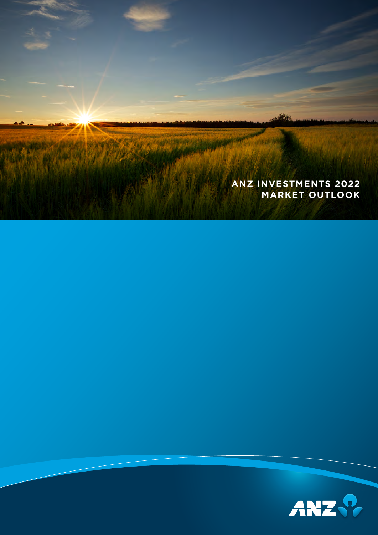

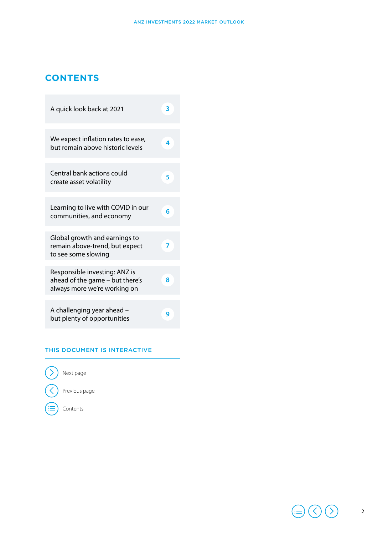#### **CONTENTS**

| A quick look back at 2021                                                                        | ٦ |
|--------------------------------------------------------------------------------------------------|---|
| We expect inflation rates to ease,<br>but remain above historic levels                           | 4 |
| Central bank actions could<br>create asset volatility                                            | 5 |
| Learning to live with COVID in our<br>communities, and economy                                   | 6 |
| Global growth and earnings to<br>remain above-trend, but expect<br>to see some slowing           | 7 |
| Responsible investing: ANZ is<br>ahead of the game - but there's<br>always more we're working on | 8 |
| A challenging year ahead -<br>but plenty of opportunities                                        | g |

#### THIS DOCUMENT IS INTERACTIVE



(≔

Previous page

Contents

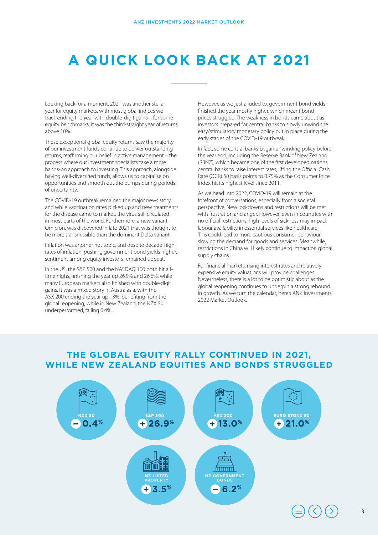# **A QUICK LOOK BACK AT 2021**

Looking back for a moment, 2021 was another stellar year for equity markets, with most global indices we track ending the year with double-digit gains – for some equity benchmarks, it was the third-straight year of returns above 10%.

These exceptional global equity returns saw the majority of our investment funds continue to deliver outstanding returns, reaffirming our belief in active management – the process where our investment specialists take a more hands-on approach to investing. This approach, alongside having well-diversified funds, allows us to capitalise on opportunities and smooth out the bumps during periods of uncertainty.

The COVID-19 outbreak remained the major news story, and while vaccination rates picked up and new treatments for the disease came to market, the virus still circulated in most parts of the world. Furthermore, a new variant, Omicron, was discovered in late 2021 that was thought to be more transmissible than the dominant Delta variant.

Inflation was another hot topic, and despite decade-high rates of inflation, pushing government bond yields higher, sentiment among equity investors remained upbeat.

In the US, the S&P 500 and the NASDAQ 100 both hit alltime highs, finishing the year up 26.9% and 26.6%, while many European markets also finished with double-digit gains. It was a mixed story in Australasia, with the ASX 200 ending the year up 13%, benefiting from the global reopening, while in New Zealand, the NZX 50 underperformed, falling 0.4%.

However, as we just alluded to, government bond yields finished the year mostly higher, which meant bond prices struggled. The weakness in bonds came about as investors prepared for central banks to slowly unwind the easy/stimulatory monetary policy put in place during the early stages of the COVID-19 outbreak.

In fact, some central banks began unwinding policy before the year end, including the Reserve Bank of New Zealand (RBNZ), which became one of the first developed nations central banks to raise interest rates, lifting the Official Cash Rate (OCR) 50 basis points to 0.75% as the Consumer Price Index hit its highest level since 2011.

As we head into 2022, COVID-19 will remain at the forefront of conversations, especially from a societal perspective. New lockdowns and restrictions will be met with frustration and anger. However, even in countries with no official restrictions, high levels of sickness may impact labour availability in essential services like healthcare. This could lead to more cautious consumer behaviour, slowing the demand for goods and services. Meanwhile, restrictions in China will likely continue to impact on global supply chains.

For financial markets, rising interest rates and relatively expensive equity valuations will provide challenges. Nevertheless, there is a lot to be optimistic about as the global reopening continues to underpin a strong rebound in growth. As we turn the calendar, here's ANZ Investments' 2022 Market Outlook.

#### **THE GLOBAL EQUITY RALLY CONTINUED IN 2021, WHILE NEW ZEALAND EQUITIES AND BONDS STRUGGLED**

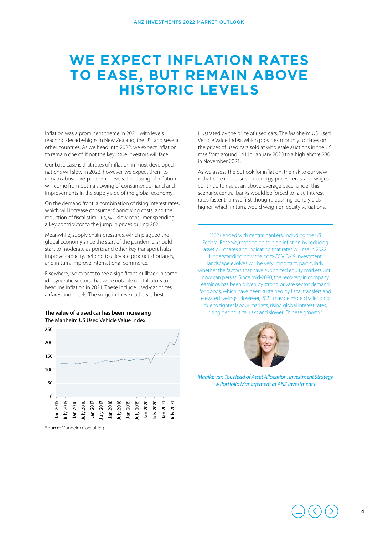## **WE EXPECT INFLATION RATES TO EASE, BUT REMAIN ABOVE HISTORIC LEVELS**

Inflation was a prominent theme in 2021, with levels reaching decade-highs in New Zealand, the US, and several other countries. As we head into 2022, we expect inflation to remain one of, if not the key issue investors will face.

Our base case is that rates of inflation in most developed nations will slow in 2022, however, we expect them to remain above pre-pandemic levels. The easing of inflation will come from both a slowing of consumer demand and improvements in the supply side of the global economy.

On the demand front, a combination of rising interest rates, which will increase consumers' borrowing costs, and the reduction of fiscal stimulus, will slow consumer spending – a key contributor to the jump in prices during 2021.

Meanwhile, supply chain pressures, which plagued the global economy since the start of the pandemic, should start to moderate as ports and other key transport hubs improve capacity, helping to alleviate product shortages, and in turn, improve international commerce.

Elsewhere, we expect to see a significant pullback in some idiosyncratic sectors that were notable contributors to headline inflation in 2021. These include used-car prices, airfares and hotels. The surge in these outliers is best



The Manheim US Used Vehicle Value Index

Source: Manheim Consulting

illustrated by the price of used cars. The Manheim US Used Vehicle Value Index, which provides monthly updates on the prices of used cars sold at wholesale auctions in the US, rose from around 141 in January 2020 to a high above 230 in November 2021.

As we assess the outlook for inflation, the risk to our view is that core inputs such as energy prices, rents, and wages continue to rise at an above-average pace. Under this scenario, central banks would be forced to raise interest rates faster than we first thought, pushing bond yields higher, which in turn, would weigh on equity valuations.

"2021 ended with central bankers, including the US Federal Reserve, responding to high inflation by reducing asset purchases and indicating that rates will rise in 2022. Understanding how the post-COVID-19 investment landscape evolves will be very important, particularly whether the factors that have supported equity markets until now can persist. Since mid-2020, the recovery in company earnings has been driven by strong private sector demand for goods, which have been sustained by fiscal transfers and elevated savings. However, 2022 may be more challenging due to tighter labour markets, rising global interest rates, **The value of a used car has been increasing <b>right** rising geopolitical risks and slower Chinese growth."



*Maaike van Tol, Head of Asset Allocation, Investment Strategy & Portfolio Management at ANZ Investments*



4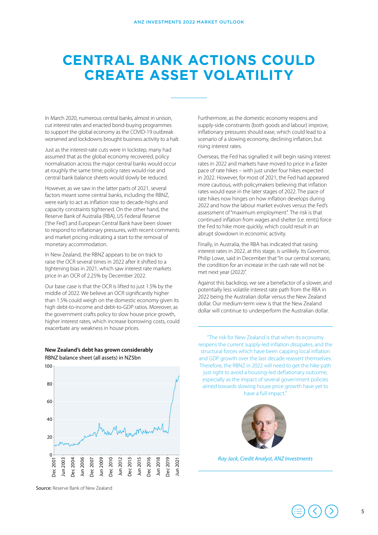## **CENTRAL BANK ACTIONS COULD CREATE ASSET VOLATILITY**

In March 2020, numerous central banks, almost in unison, cut interest rates and enacted bond-buying programmes to support the global economy as the COVID-19 outbreak worsened and lockdowns brought business activity to a halt.

Just as the interest-rate cuts were in lockstep, many had assumed that as the global economy recovered, policy normalisation across the major central banks would occur at roughly the same time; policy rates would rise and central bank balance sheets would slowly be reduced.

However, as we saw in the latter parts of 2021, several factors meant some central banks, including the RBNZ, were early to act as inflation rose to decade-highs and capacity constraints tightened. On the other hand, the Reserve Bank of Australia (RBA), US Federal Reserve ('the Fed') and European Central Bank have been slower to respond to inflationary pressures, with recent comments and market pricing indicating a start to the removal of monetary accommodation.

In New Zealand, the RBNZ appears to be on track to raise the OCR several times in 2022 after it shifted to a tightening bias in 2021, which saw interest rate markets price in an OCR of 2.25% by December 2022.

Our base case is that the OCR is lifted to just 1.5% by the middle of 2022. We believe an OCR significantly higher than 1.5% could weigh on the domestic economy given its high debt-to-income and debt-to-GDP ratios. Moreover, as the government crafts policy to slow house price growth, higher interest rates, which increase borrowing costs, could exacerbate any weakness in house prices.



**New Zealand's debt has grown considerably** RBNZ balance sheet (all assets) in NZ\$bn

Source: Reserve Bank of New Zealand

Furthermore, as the domestic economy reopens and supply-side constraints (both goods and labour) improve, inflationary pressures should ease, which could lead to a scenario of a slowing economy, declining inflation, but rising interest rates.

Overseas, the Fed has signalled it will begin raising interest rates in 2022 and markets have moved to price in a faster pace of rate hikes – with just under four hikes expected in 2022. However, for most of 2021, the Fed had appeared more cautious, with policymakers believing that inflation rates would ease in the later stages of 2022. The pace of rate hikes now hinges on how inflation develops during 2022 and how the labour market evolves versus the Fed's assessment of "maximum employment". The risk is that continued inflation from wages and shelter (i.e. rents) force the Fed to hike more quickly, which could result in an abrupt slowdown in economic activity.

Finally, in Australia, the RBA has indicated that raising interest rates in 2022, at this stage, is unlikely. Its Governor, Philip Lowe, said in December that "In our central scenario, the condition for an increase in the cash rate will not be met next year (2022)".

Against this backdrop, we see a benefactor of a slower, and potentially less volatile interest rate path from the RBA in 2022 being the Australian dollar versus the New Zealand dollar. Our medium-term view is that the New Zealand dollar will continue to underperform the Australian dollar.

"The risk for New Zealand is that when its economy reopens the current supply-led inflation dissipates, and the structural forces which have been capping local inflation and GDP growth over the last decade reassert themselves. Therefore, the RBNZ in 2022 will need to get the hike path just right to avoid a housing-led deflationary outcome, especially as the impact of several government policies aimed towards slowing house price growth have yet to have a full impact."



*Ray Jack, Credit Analyst, ANZ Investments*

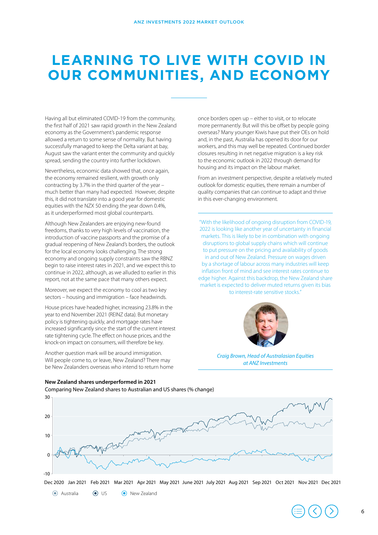## **LEARNING TO LIVE WITH COVID IN OUR COMMUNITIES, AND ECONOMY**

Having all but eliminated COVID-19 from the community, the first half of 2021 saw rapid growth in the New Zealand economy as the Government's pandemic response allowed a return to some sense of normality. But having successfully managed to keep the Delta variant at bay, August saw the variant enter the community and quickly spread, sending the country into further lockdown.

Nevertheless, economic data showed that, once again, the economy remained resilient, with growth only contracting by 3.7% in the third quarter of the year – much better than many had expected. However, despite this, it did not translate into a good year for domestic equities with the NZX 50 ending the year down 0.4%, as it underperformed most global counterparts.

Although New Zealanders are enjoying new-found freedoms, thanks to very high levels of vaccination, the introduction of vaccine passports and the promise of a gradual reopening of New Zealand's borders, the outlook for the local economy looks challenging. The strong economy and ongoing supply constraints saw the RBNZ begin to raise interest rates in 2021, and we expect this to continue in 2022, although, as we alluded to earlier in this report, not at the same pace that many others expect.

Moreover, we expect the economy to cool as two key sectors – housing and immigration – face headwinds.

House prices have headed higher, increasing 23.8% in the year to end November 2021 (REINZ data). But monetary policy is tightening quickly, and mortgage rates have increased significantly since the start of the current interest rate tightening cycle. The effect on house prices, and the knock-on impact on consumers, will therefore be key.

Another question mark will be around immigration. Will people come to, or leave, New Zealand? There may be New Zealanders overseas who intend to return home

**New Zealand shares underperformed in 2021**

once borders open up – either to visit, or to relocate more permanently. But will this be offset by people going overseas? Many younger Kiwis have put their OEs on hold and, in the past, Australia has opened its door for our workers, and this may well be repeated. Continued border closures resulting in net negative migration is a key risk to the economic outlook in 2022 through demand for housing and its impact on the labour market.

From an investment perspective, despite a relatively muted outlook for domestic equities, there remain a number of quality companies that can continue to adapt and thrive in this ever-changing environment.

"With the likelihood of ongoing disruption from COVID-19, 2022 is looking like another year of uncertainty in financial markets. This is likely to be in combination with ongoing disruptions to global supply chains which will continue to put pressure on the pricing and availability of goods in and out of New Zealand. Pressure on wages driven by a shortage of labour across many industries will keep inflation front of mind and see interest rates continue to edge higher. Against this backdrop, the New Zealand share market is expected to deliver muted returns given its bias to interest-rate sensitive stocks."



*Craig Brown, Head of Australasian Equities at ANZ Investments*



Australia US New Zealand

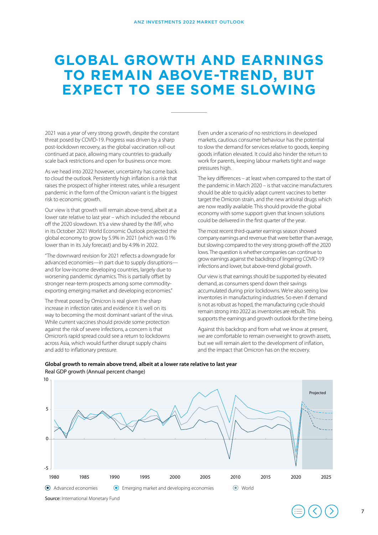### **GLOBAL GROWTH AND EARNINGS TO REMAIN ABOVE-TREND, BUT EXPECT TO SEE SOME SLOWING**

2021 was a year of very strong growth, despite the constant threat posed by COVID-19. Progress was driven by a sharp post-lockdown recovery, as the global vaccination roll-out continued at pace, allowing many countries to gradually scale back restrictions and open for business once more.

As we head into 2022 however, uncertainty has come back to cloud the outlook. Persistently high inflation is a risk that raises the prospect of higher interest rates, while a resurgent pandemic in the form of the Omicron variant is the biggest risk to economic growth.

Our view is that growth will remain above-trend, albeit at a lower rate relative to last year – which included the rebound off the 2020 slowdown. It's a view shared by the IMF, who in its October 2021 World Economic Outlook projected the global economy to grow by 5.9% in 2021 (which was 0.1% lower than in its July forecast) and by 4.9% in 2022.

"The downward revision for 2021 reflects a downgrade for advanced economies—in part due to supply disruptions and for low-income developing countries, largely due to worsening pandemic dynamics. This is partially offset by stronger near-term prospects among some commodityexporting emerging market and developing economies."

The threat posed by Omicron is real given the sharp increase in infection rates and evidence it is well on its way to becoming the most dominant variant of the virus. While current vaccines should provide some protection against the risk of severe infections, a concern is that Omicron's rapid spread could see a return to lockdowns across Asia, which would further disrupt supply chains and add to inflationary pressure.

Even under a scenario of no restrictions in developed markets, cautious consumer behaviour has the potential to slow the demand for services relative to goods, keeping goods inflation elevated. It could also hinder the return to work for parents, keeping labour markets tight and wage pressures high.

The key differences – at least when compared to the start of the pandemic in March 2020 – is that vaccine manufacturers should be able to quickly adapt current vaccines to better target the Omicron strain, and the new antiviral drugs which are now readily available. This should provide the global economy with some support given that known solutions could be delivered in the first quarter of the year.

The most recent third-quarter earnings season showed company earnings and revenue that were better than average, but slowing compared to the very strong growth off the 2020 lows. The question is whether companies can continue to grow earnings against the backdrop of lingering COVID-19 infections and lower, but above-trend global growth.

Our view is that earnings should be supported by elevated demand, as consumers spend down their savings accumulated during prior lockdowns. We're also seeing low inventories in manufacturing industries. So even if demand is not as robust as hoped, the manufacturing cycle should remain strong into 2022 as inventories are rebuilt. This supports the earnings and growth outlook for the time being.

Against this backdrop and from what we know at present, we are comfortable to remain overweight to growth assets, but we will remain alert to the development of inflation, and the impact that Omicron has on the recovery.



#### **Global growth to remain above trend, albeit at a lower rate relative to last year** Real GDP growth (Annual percent change)

Source: International Monetary Fund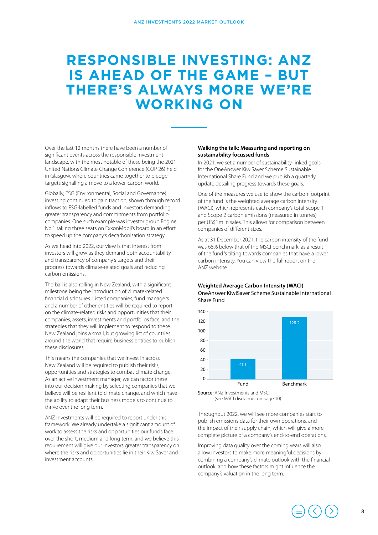### **RESPONSIBLE INVESTING: ANZ IS AHEAD OF THE GAME – BUT THERE'S ALWAYS MORE WE'RE WORKING ON**

Over the last 12 months there have been a number of significant events across the responsible investment landscape, with the most notable of these being the 2021 United Nations Climate Change Conference (COP 26) held in Glasgow, where countries came together to pledge targets signalling a move to a lower-carbon world.

Globally, ESG (Environmental, Social and Governance) investing continued to gain traction, shown through record inflows to ESG-labelled funds and investors demanding greater transparency and commitments from portfolio companies. One such example was investor group Engine No.1 taking three seats on ExxonMobil's board in an effort to speed up the company's decarbonisation strategy.

As we head into 2022, our view is that interest from investors will grow as they demand both accountability and transparency of company's targets and their progress towards climate-related goals and reducing carbon emissions.

The ball is also rolling in New Zealand, with a significant milestone being the introduction of climate-related financial disclosures. Listed companies, fund managers and a number of other entities will be required to report on the climate-related risks and opportunities that their companies, assets, investments and portfolios face, and the strategies that they will implement to respond to these. New Zealand joins a small, but growing list of countries around the world that require business entities to publish these disclosures.

This means the companies that we invest in across New Zealand will be required to publish their risks, opportunities and strategies to combat climate change. As an active investment manager, we can factor these into our decision making by selecting companies that we believe will be resilient to climate change, and which have the ability to adapt their business models to continue to thrive over the long term.

ANZ Investments will be required to report under this framework. We already undertake a significant amount of work to assess the risks and opportunities our funds face over the short, medium and long term, and we believe this requirement will give our investors greater transparency on where the risks and opportunities lie in their KiwiSaver and investment accounts.

#### **Walking the talk: Measuring and reporting on sustainability focussed funds**

In 2021, we set a number of sustainability-linked goals for the OneAnswer KiwiSaver Scheme Sustainable International Share Fund and we publish a quarterly update detailing progress towards these goals.

One of the measures we use to show the carbon footprint of the fund is the weighted average carbon intensity (WACI), which represents each company's total Scope 1 and Scope 2 carbon emissions (measured in tonnes) per US\$1m in sales. This allows for comparison between companies of different sizes.

As at 31 December 2021, the carbon intensity of the fund was 68% below that of the MSCI benchmark, as a result of the fund 's tilting towards companies that have a lower carbon intensity. You can view the full report on the ANZ website.

#### **Weighted Average Carbon Intensity (WACI)** OneAnswer KiwiSaver Scheme Sustainable International Share Fund



Source: ANZ Investments and MSCI (see MSCI disclaimer on page 10)

Throughout 2022, we will see more companies start to publish emissions data for their own operations, and the impact of their supply chain, which will give a more complete picture of a company's end-to-end operations.

Improving data quality over the coming years will also allow investors to make more meaningful decisions by combining a company's climate outlook with the financial outlook, and how these factors might influence the company's valuation in the long term.

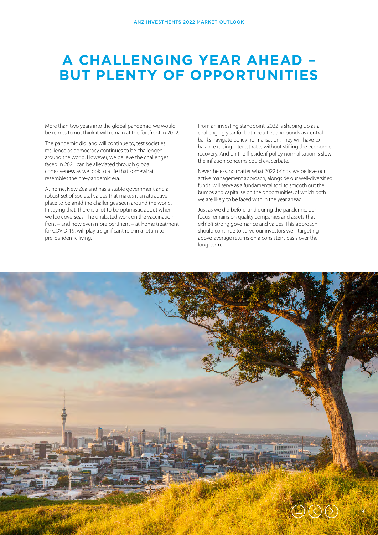## **A CHALLENGING YEAR AHEAD – BUT PLENTY OF OPPORTUNITIES**

More than two years into the global pandemic, we would be remiss to not think it will remain at the forefront in 2022.

The pandemic did, and will continue to, test societies resilience as democracy continues to be challenged around the world. However, we believe the challenges faced in 2021 can be alleviated through global cohesiveness as we look to a life that somewhat resembles the pre-pandemic era.

At home, New Zealand has a stable government and a robust set of societal values that makes it an attractive place to be amid the challenges seen around the world. In saying that, there is a lot to be optimistic about when we look overseas. The unabated work on the vaccination front – and now even more pertinent – at-home treatment for COVID-19, will play a significant role in a return to pre-pandemic living.

From an investing standpoint, 2022 is shaping up as a challenging year for both equities and bonds as central banks navigate policy normalisation. They will have to balance raising interest rates without stifling the economic recovery. And on the flipside, if policy normalisation is slow, the inflation concerns could exacerbate.

Nevertheless, no matter what 2022 brings, we believe our active management approach, alongside our well-diversified funds, will serve as a fundamental tool to smooth out the bumps and capitalise on the opportunities, of which both we are likely to be faced with in the year ahead.

Just as we did before, and during the pandemic, our focus remains on quality companies and assets that exhibit strong governance and values. This approach should continue to serve our investors well, targeting above-average returns on a consistent basis over the long-term.

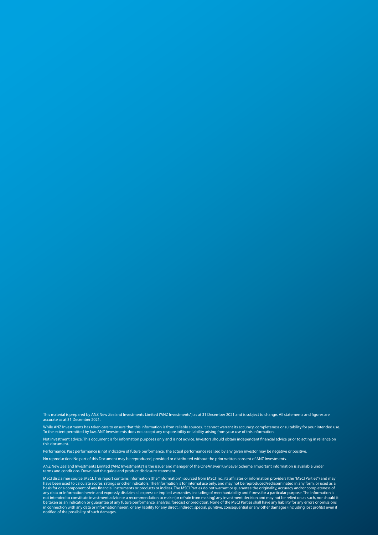This material is prepared by ANZ New Zealand Investments Limited ('ANZ Investments'') as at 31 December 2021 and is subject to change. All statements and figures are<br>accurate as at 31 December 2021.

While ANZ Investments has taken care to ensure that this information is from reliable sources, it cannot warrant its accuracy, completeness or suitability for your intended use.<br>To the extent permitted by law, ANZ Investme

Not investment advice: This document is for information purposes only and is not advice. Investors should obtain independent financial advice prior to acting in reliance on this document.

Performance: Past performance is not indicative of future performance. The actual performance realised by any given investor may be negative or positive.

No reproduction: No part of this Document may be reproduced, provided or distributed without the prior written consent of ANZ Investments.

ANZ New Zealand Investments Limited ('ANZ Investments') is the issuer and manager of the OneAnswer KiwiSaver Scheme. Important information is available under<br><u>[terms and conditions](https://www.anz.co.nz/content/anzconz/nz/en/comms/investments/documents-forms/important-information.html)</u>. Download the <u>quide and product disclosu</u>

MSCI disclaimer source: MSCI. This report contains information (the "Information") sourced from MSCI Inc., its affiliates or information providers (the "MSCI Parties") and may<br>have been used to calculate scores, ratings or any data or Information herein and expressly disclaim all express or implied warranties, including of merchantability and fitness for a particular purpose. The Information is<br>not intended to constitute investment advice or in connection with any data or information herein, or any liability for any direct, indirect, special, punitive, consequential or any other damages (including lost profits) even if<br>notified of the possibility of such damag